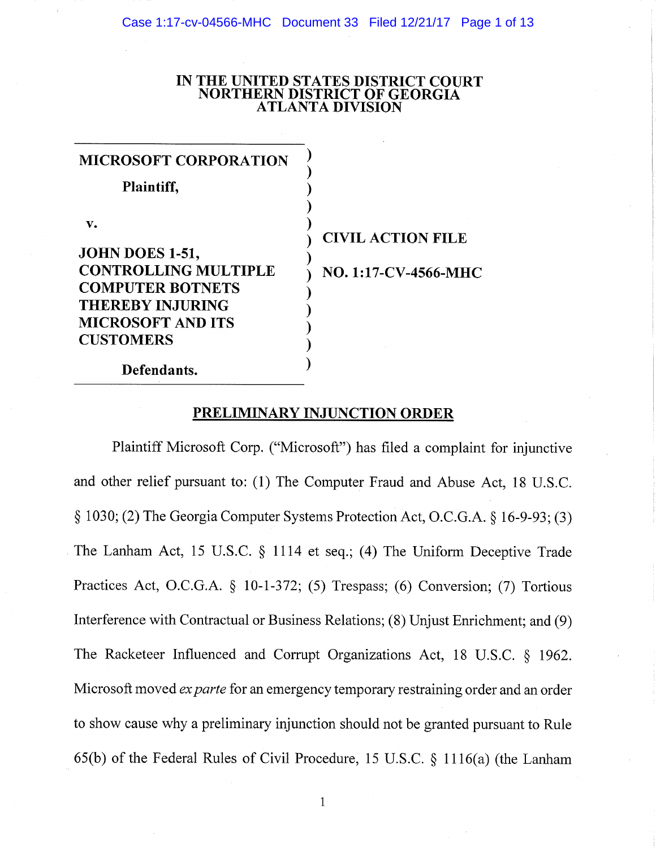## **IN THE UNITED STATES DISTRICT COURT NORTHERN DISTRICT OF GEORGIA ATLANTA DIVISION**

| <b>MICROSOFT CORPORATION</b><br>Plaintiff,                                     |                          |
|--------------------------------------------------------------------------------|--------------------------|
| v.<br>JOHN DOES 1-51,<br><b>CONTROLLING MULTIPLE</b>                           | <b>CIVIL ACTION FILE</b> |
| <b>COMPUTER BOTNETS</b><br><b>THEREBY INJURING</b><br><b>MICROSOFT AND ITS</b> | NO. 1:17-CV-4566-MHC     |
| <b>CUSTOMERS</b><br>Defendants.                                                |                          |

# **PRELIMINARY INJUNCTION ORDER**

Plaintiff Microsoft Corp. ("Microsoft") has filed a complaint for injunctive and other relief pursuant to: (1) The Computer Fraud and Abuse Act, 18 U.S.C. § 1030; (2) The Georgia Computer Systems Protection Act, O.C.G.A. § 16-9-93; (3) The Lanham Act, 15 U.S.C. § 1114 et seq.; (4) The Uniform Deceptive Trade Practices Act, O.C.G.A. § 10-1-372; (5) Trespass; (6) Conversion; (7) Tortious Interference with Contractual or Business Relations; (8) Unjust Enrichment; and (9) The Racketeer Influenced and Corrupt Organizations Act, 18 U.S.C. § 1962. Microsoft moved *ex parte* for an emergency temporary restraining order and an order to show cause why a preliminary injunction should not be granted pursuant to Rule 65(b) of the Federal Rules of Civil Procedure, 15 U.S.C. § 1116(a) (the Lanham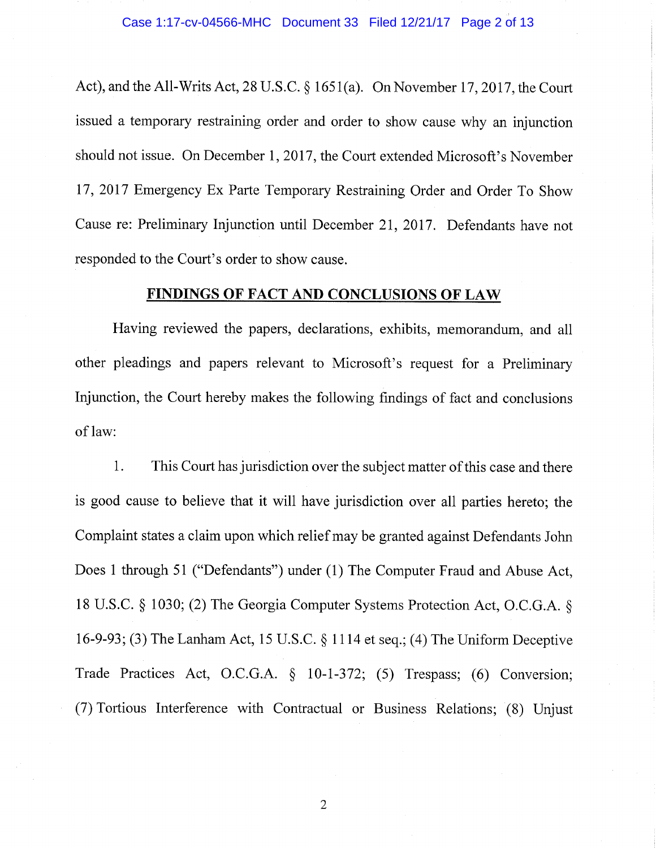Act), and the All-Writs Act, 28 U.S.C. § 1651(a). On November 17,2017, the Court issued a temporary restraining order and order to show cause why an injunction should not issue. On December 1, 2017, the Court extended Microsoft's November 17, 2017 Emergency Ex Parte Temporary Restraining Order and Order To Show Cause re: Preliminary Injunction until December 21, 2017. Defendants have not responded to the Court's order to show cause.

# **FINDINGS OF FACT AND CONCLUSIONS OF LAW**

Having reviewed the papers, declarations, exhibits, memorandum, and all other pleadings and papers relevant to Microsoft's request for a Preliminary Injunction, the Court hereby makes the following findings of fact and conclusions of law:

1. This Court has jurisdiction over the subject matter of this case and there is good cause to believe that it will have jurisdiction over all parties hereto; the Complaint states a claim upon which relief may be granted against Defendants John Does 1 through 51 ("Defendants") under (1) The Computer Fraud and Abuse Act, 18 U.S.C. § 1030; (2) The Georgia Computer Systems Protection Act, O.C.G.A. § 16-9-93; (3) The Lanham Act, 15 U.S.C. § 1114 et seq.; (4) The Uniform Deceptive Trade Practices Act, O.C.G.A. § 10-1-372; (5) Trespass; (6) Conversion; (7) Tortious Interference with Contractual or Business Relations; (8) Unjust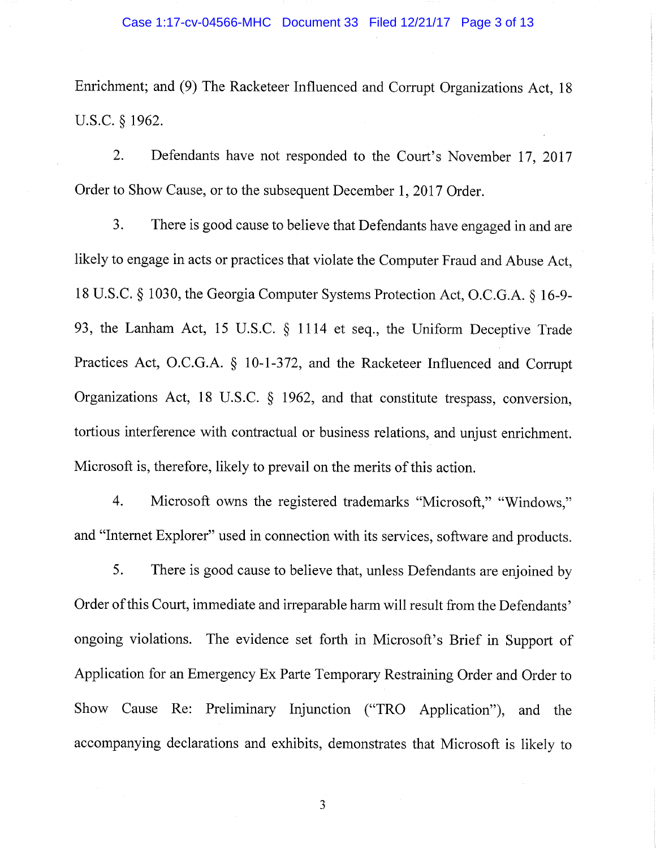Enrichment; and (9) The Racketeer Influenced and Corrupt Organizations Act, 18 U.S.C. § 1962.

2. Defendants have not responded to the Court's November 17, 2017 Order to Show Cause, or to the subsequent December 1, 2017 Order.

3. There is good cause to believe that Defendants have engaged in and are likely to engage in acts or practices that violate the Computer Fraud and Abuse Act, 18 U.S.C. § 1030, the Georgia Computer Systems Protection Act, O.C.G.A. § 16-9- 93, the Lanham Act, 15 U.S.C. § 1114 et seq., the Uniform Deceptive Trade Practices Act, O.C.G.A. § 10-1-372, and the Racketeer Influenced and Corrupt Organizations Act, 18 U.S.C. § 1962, and that constitute trespass, conversion, tortious interference with contractual or business relations, and unjust enrichment. Microsoft is, therefore, likely to prevail on the merits of this action.

4. Microsoft owns the registered trademarks "Microsoft," "Windows," and "Internet Explorer" used in connection with its services, software and products.

5. There is good cause to believe that, unless Defendants are enjoined by Order of this Court, immediate and irreparable harm will result from the Defendants' ongoing violations. The evidence set forth in Microsoft's Brief in Support of Application for an Emergency Ex Parte Temporary Restraining Order and Order to Show Cause Re: Preliminary Injunction ("TRO Application"), and the accompanying declarations and exhibits, demonstrates that Microsoft is likely to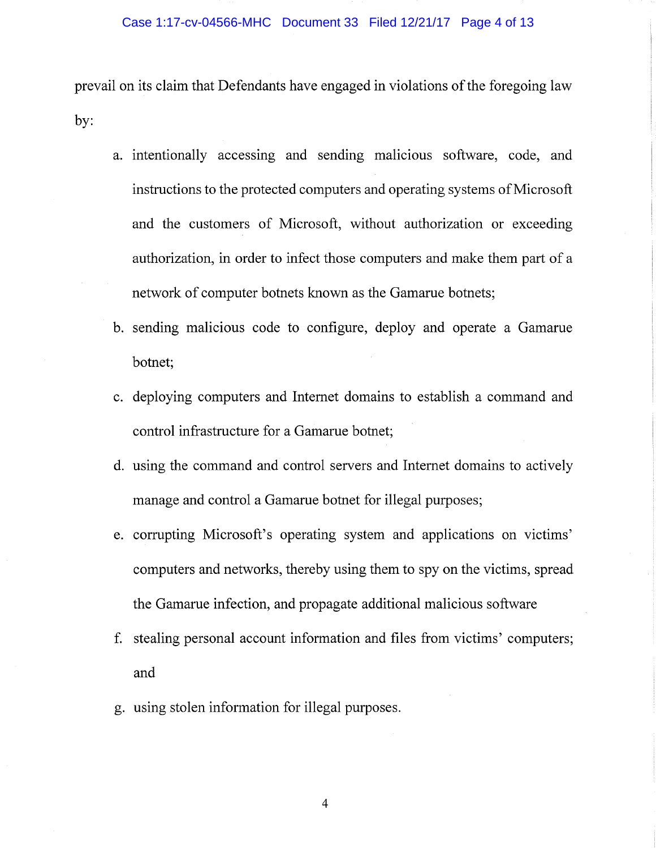prevail on its claim that Defendants have engaged in violations of the foregoing law by:

- a. intentionally accessing and sending malicious software, code, and instructions to the protected computers and operating systems of Microsoft and the customers of Microsoft, without authorization or exceeding authorization, in order to infect those computers and make them part of a network of computer botnets known as the Gamarue botnets;
- b. sending malicious code to configure, deploy and operate a Gamarue botnet;
- c. deploying computers and Internet domains to establish a command and control infrastructure for a Gamarue botnet;
- d. using the command and control servers and Internet domains to actively manage and control a Gamarue botnet for illegal purposes;
- e. corrupting Microsoft's operating system and applications on victims' computers and networks, thereby using them to spy on the victims, spread the Gamarue infection, and propagate additional malicious software
- f. stealing personal account information and files from victims' computers; and
- g. using stolen information for illegal purposes.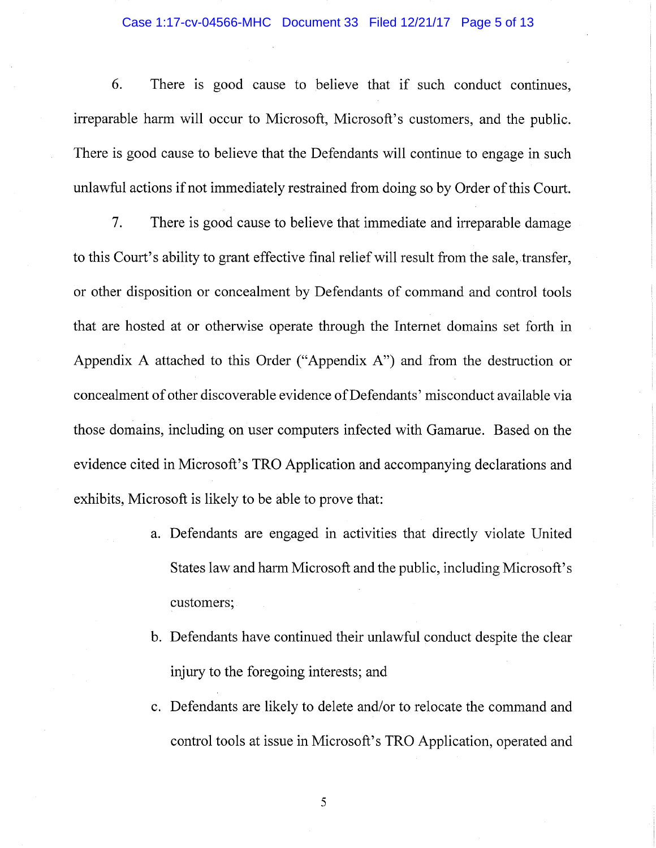#### Case 1:17-cv-04566-MHC Document 33 Filed 12/21/17 Page 5 of 13

6. There is good cause to believe that if such conduct continues, irreparable harm will occur to Microsoft, Microsoft's customers, and the public. There is good cause to believe that the Defendants will continue to engage in such unlawfiil actions if not immediately restrained from doing so by Order of this Court.

7. There is good cause to believe that immediate and irreparable damage to this Court's ability to grant effective final relief will result from the sale, transfer, or other disposition or concealment by Defendants of command and control tools that are hosted at or otherwise operate through the Internet domains set forth in Appendix A attached to this Order ("Appendix A") and from the destruction or concealment of other discoverable evidence of Defendants' misconduct available via those domains, including on user computers infected with Gamarue. Based on the evidence cited in Microsoft's TRO Application and accompanying declarations and exhibits, Microsoft is likely to be able to prove that:

- a. Defendants are engaged in activities that directly violate United States law and harm Microsoft and the public, including Microsoft's customers;
- b. Defendants have continued their unlawful conduct despite the clear injury to the foregoing interests; and
- c. Defendants are likely to delete and/or to relocate the command and control tools at issue in Microsoft's TRO Application, operated and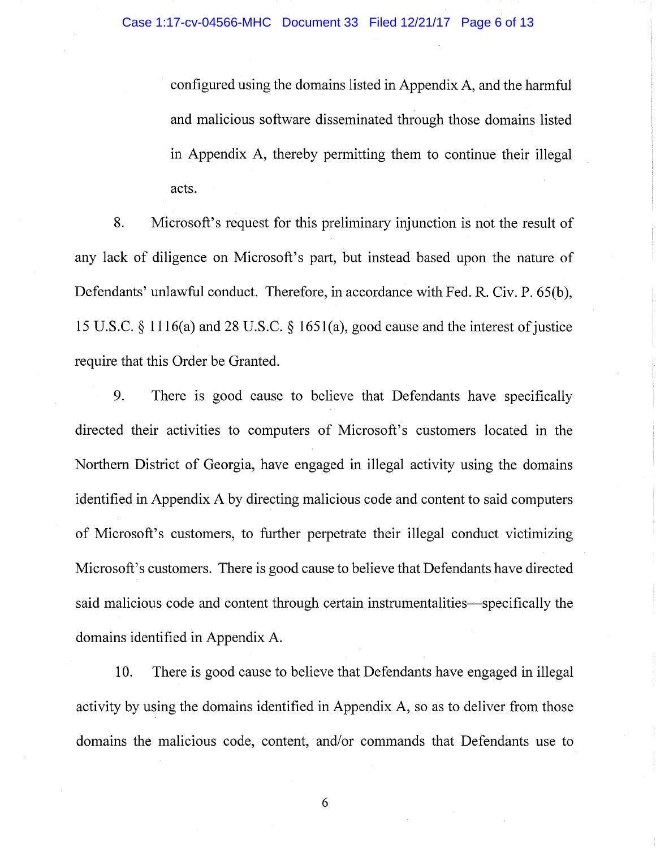configured using the domains listed in Appendix A, and the harmful and malicious software disseminated through those domains listed in Appendix A, thereby permitting them to continue their illegal acts.

8. Microsoft's request for this preliminary injunction is not the result of any lack of diligence on Microsoft's part, but instead based upon the nature of Defendants' unlawful conduct. Therefore, in accordance with Fed. R. Civ. P. 65(b), 15 U.S.C. § 1116(a) and 28 U.S.C. § 1651(a), good cause and the interest of justice require that this Order be Granted.

9. There is good cause to believe that Defendants have specifically directed their activities to computers of Microsoft's customers located in the Northern District of Georgia, have engaged in illegal activity using the domains identified in Appendix A by directing malicious code and content to said computers of Microsoft's customers, to further perpetrate their illegal conduct victimizing Microsoft's customers. There is good cause to believe that Defendants have directed said malicious code and content through certain instrumentalities—specifically the domains identified in Appendix A.

10. There is good cause to believe that Defendants have engaged in illegal activity by using the domains identified in Appendix A, so as to deliver from those domains the malicious code, content, and/or commands that Defendants use to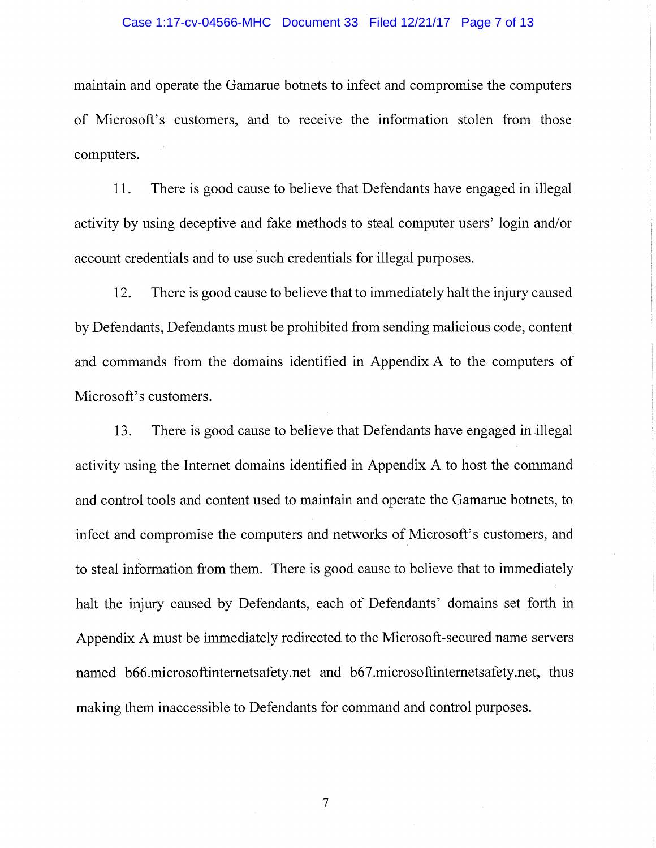### Case 1:17-cv-04566-MHC Document 33 Filed 12/21/17 Page 7 of 13

maintain and operate the Gamarue botnets to infect and compromise the computers of Microsoft's customers, and to receive the information stolen from those computers.

11. There is good cause to believe that Defendants have engaged in illegal activity by using deceptive and fake methods to steal computer users' login and/or account credentials and to use such credentials for illegal purposes.

12. There is good cause to believe that to immediately halt the injury caused by Defendants, Defendants must be prohibited from sending malicious code, content and commands from the domains identified in Appendix A to the computers of Microsoft's customers.

13. There is good cause to believe that Defendants have engaged in illegal activity using the Internet domains identified in Appendix A to host the command and control tools and content used to maintain and operate the Gamarue botnets, to infect and compromise the computers and networks of Microsoft's customers, and to steal information from them. There is good cause to believe that to immediately halt the injury caused by Defendants, each of Defendants' domains set forth in Appendix A must be immediately redirected to the Microsoft-secured name servers named b66.microsoftintemetsafety.net and b67.microsoftintemetsafety.net, thus making them inaccessible to Defendants for command and control purposes.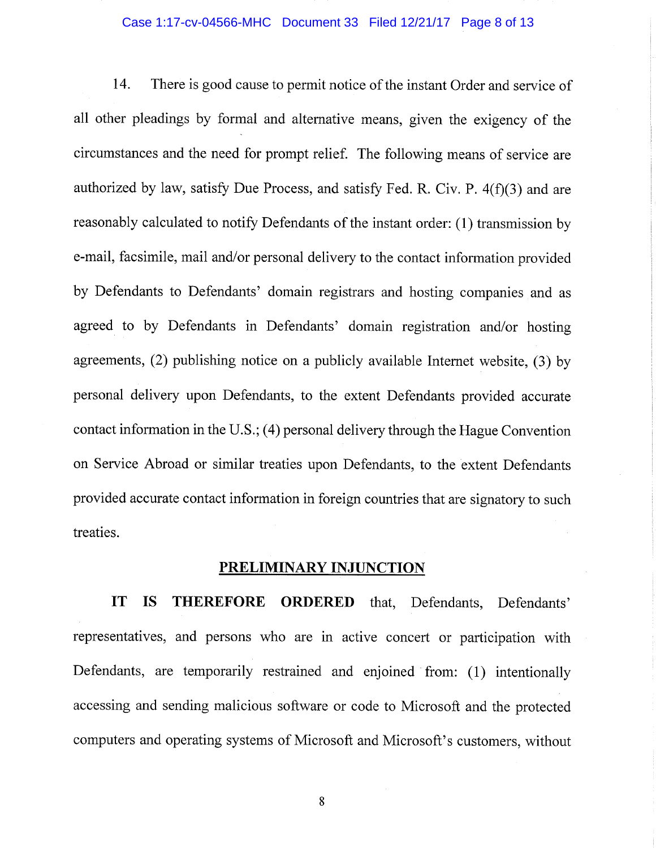## Case 1:17-cv-04566-MHC Document 33 Filed 12/21/17 Page 8 of 13

14. There is good cause to permit notice of the instant Order and service of all other pleadings by formal and alternative means, given the exigency of the circumstances and the need for prompt relief. The following means of service are authorized by law, satisfy Due Process, and satisfy Fed. R. Civ. P. 4(f)(3) and are reasonably calculated to notify Defendants of the instant order: (1) transmission by e-mail, facsimile, mail and/or personal delivery to the contact information provided by Defendants to Defendants' domain registrars and hosting companies and as agreed to by Defendants in Defendants' domain registration and/or hosting agreements, (2) publishing notice on a publicly available Internet website, (3) by personal delivery upon Defendants, to the extent Defendants provided accurate contact information in the U.S.; (4) personal delivery through the Hague Convention on Service Abroad or similar treaties upon Defendants, to the extent Defendants provided accurate contact information in foreign countries that are signatory to such treaties.

# **PRELIMINARY INJUNCTION**

**IT IS THEREFORE ORDERED** that. Defendants, Defendants' representatives, and persons who are in active concert or participation with Defendants, are temporarily restrained and enjoined from: (1) intentionally accessing and sending malicious software or code to Microsoft and the protected computers and operating systems of Microsoft and Microsoft's customers, without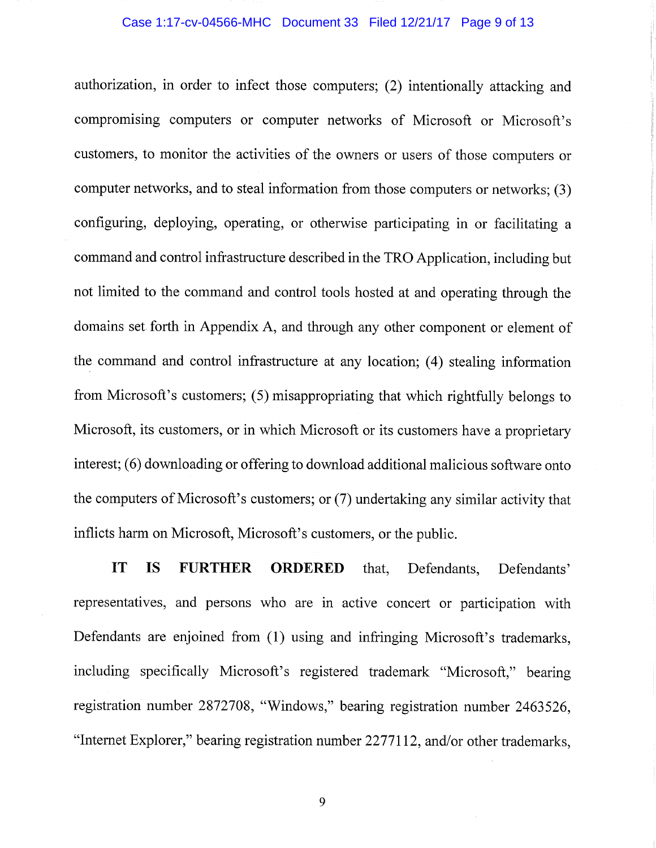#### Case 1:17-cv-04566-MHC Document 33 Filed 12/21/17 Page 9 of 13

authorization, in order to infect those computers; (2) intentionally attacking and compromising computers or computer networks of Microsoft or Microsoft's customers, to monitor the activities of the owners or users of those computers or computer networks, and to steal information from those computers or networks; (3) configuring, deploying, operating, or otherwise participating in or facilitating a command and control infrastructure described in the TRO Application, including but not limited to the command and control tools hosted at and operating through the domains set forth in Appendix A, and through any other component or element of the command and control infrastructure at any location; (4) stealing information from Microsoft's customers; (5) misappropriating that which rightftilly belongs to Microsoft, its customers, or in which Microsoft or its customers have a proprietary interest; (6) downloading or offering to download additional malicious software onto the computers of Microsoft's customers; or (7) undertaking any similar activity that inflicts harm on Microsoft, Microsoft's customers, or the public.

**IT IS FURTHER ORDERED** that. Defendants, Defendants' representatives, and persons who are in active concert or participation with Defendants are enjoined from (1) using and infringing Microsoft's trademarks, including specifically Microsoft's registered trademark "Microsoft," bearing registration number 2872708, "Windows," bearing registration number 2463526, "Internet Explorer," bearing registration number 2277112, and/or other trademarks.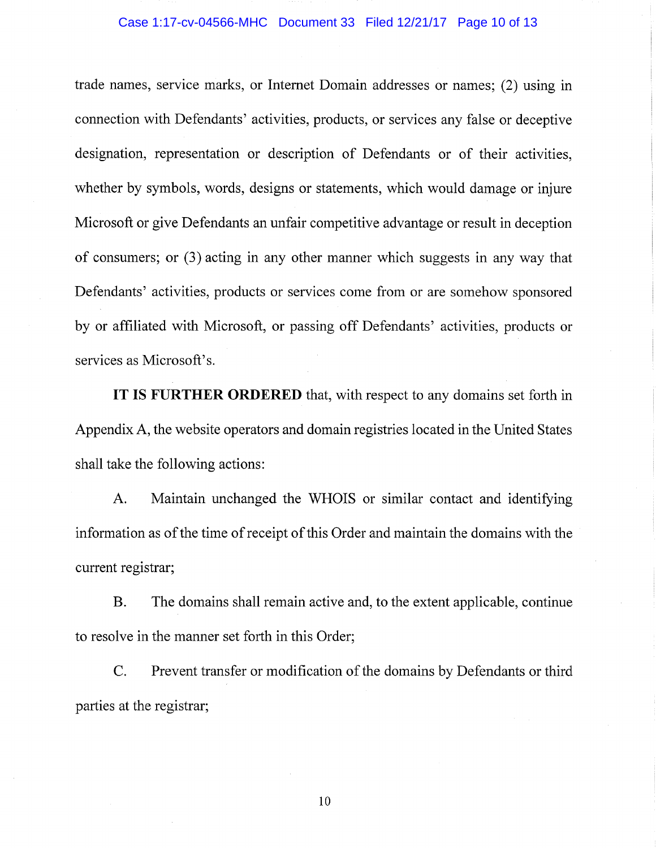#### Case 1:17-cv-04566-MHC Document 33 Filed 12/21/17 Page 10 of 13

trade names, service marks, or Internet Domain addresses or names; (2) using in connection with Defendants' activities, products, or services any false or deceptive designation, representation or description of Defendants or of their activities, whether by symbols, words, designs or statements, which would damage or injure Microsoft or give Defendants an unfair competitive advantage or result in deception of consumers; or (3) acting in any other manner which suggests in any way that Defendants' activities, products or services come from or are somehow sponsored by or affiliated with Microsoft, or passing off Defendants' activities, products or services as Microsoft's.

**IT IS FURTHER ORDERED** that, with respect to any domains set forth in Appendix A, the website operators and domain registries located in the United States shall take the following actions:

A. Maintain unchanged the WHOIS or similar contact and identifying information as of the time of receipt of this Order and maintain the domains with the current registrar;

B. The domains shall remain active and, to the extent applicable, continue to resolve in the manner set forth in this Order;

C. Prevent transfer or modification of the domains by Defendants or third parties at the registrar;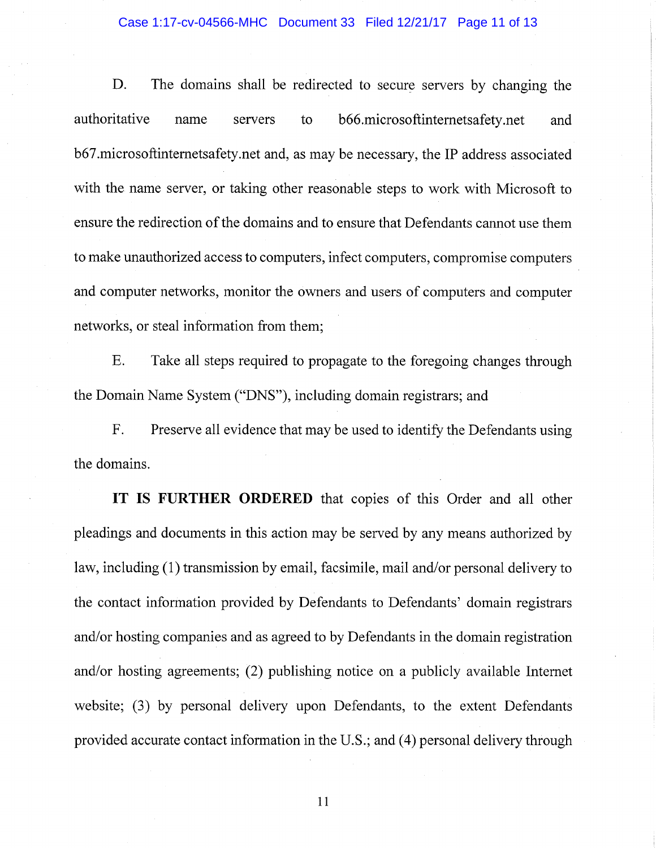#### Case 1:17-cv-04566-MHC Document 33 Filed 12/21/17 Page 11 of 13

D. The domains shall be redirected to secure servers by changing the authoritative name servers to b66.microsoftintemetsafety.net and b67.microsoftintemetsafety.net and, as may be necessary, the IP address associated with the name server, or taking other reasonable steps to work with Microsoft to ensure the redirection of the domains and to ensure that Defendants cannot use them to make unauthorized access to computers, infect computers, compromise computers and computer networks, monitor the owners and users of computers and computer networks, or steal information from them;

E. Take all steps required to propagate to the foregoing changes through the Domain Name System ("DNS"), including domain registrars; and

F. Preserve all evidence that may be used to identify the Defendants using the domains.

**IT IS FURTHER ORDERED** that copies of this Order and all other pleadings and documents in this action may be served by any means authorized by law, including (1) transmission by email, facsimile, mail and/or personal delivery to the contact information provided by Defendants to Defendants' domain registrars and/or hosting companies and as agreed to by Defendants in the domain registration and/or hosting agreements; (2) publishing notice on a publicly available Intemet website; (3) by personal delivery upon Defendants, to the extent Defendants provided accurate contact information in the U.S.; and (4) personal delivery through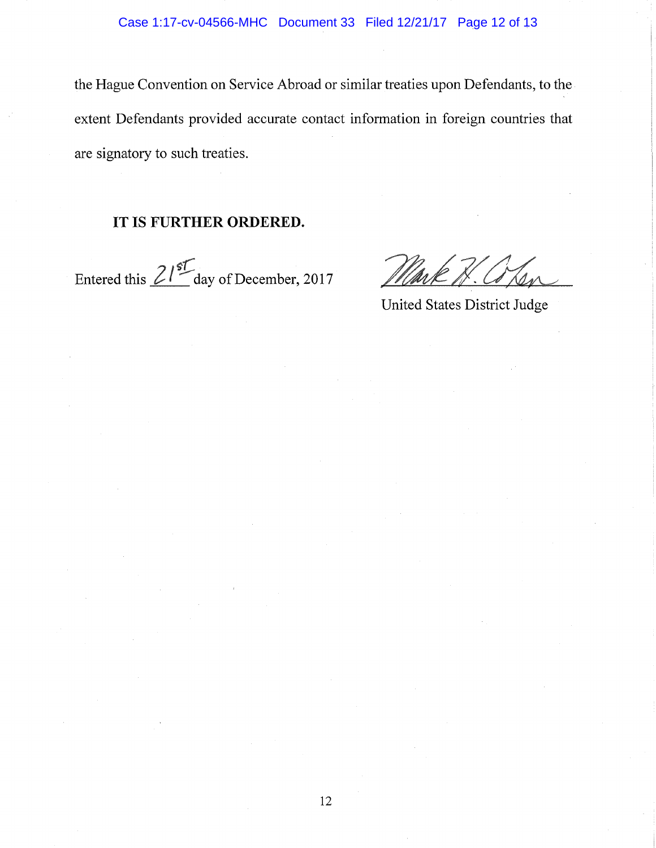the Hague Convention on Service Abroad or similar treaties upon Defendants, to the extent Defendants provided accurate contact information in foreign countries that are signatory to such treaties.

# **IT IS FURTHER ORDERED.**

Entered this  $2^{15}$ <sup>o</sup> day of December, 2017

United States District Judge